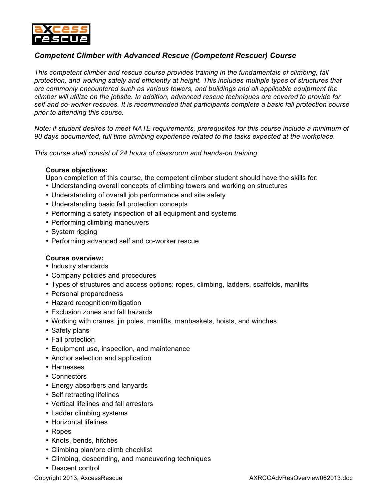

## *Competent Climber with Advanced Rescue (Competent Rescuer) Course*

*This competent climber and rescue course provides training in the fundamentals of climbing, fall protection, and working safely and efficiently at height. This includes multiple types of structures that are commonly encountered such as various towers, and buildings and all applicable equipment the climber will utilize on the jobsite. In addition, advanced rescue techniques are covered to provide for self and co-worker rescues. It is recommended that participants complete a basic fall protection course prior to attending this course.*

*Note: if student desires to meet NATE requirements, prerequsites for this course include a minimum of 90 days documented, full time climbing experience related to the tasks expected at the workplace.*

*This course shall consist of 24 hours of classroom and hands-on training.*

## **Course objectives:**

Upon completion of this course, the competent climber student should have the skills for:

- Understanding overall concepts of climbing towers and working on structures
- Understanding of overall job performance and site safety
- Understanding basic fall protection concepts
- Performing a safety inspection of all equipment and systems
- Performing climbing maneuvers
- System rigging
- Performing advanced self and co-worker rescue

## **Course overview:**

- Industry standards
- Company policies and procedures
- Types of structures and access options: ropes, climbing, ladders, scaffolds, manlifts
- Personal preparedness
- Hazard recognition/mitigation
- Exclusion zones and fall hazards
- Working with cranes, jin poles, manlifts, manbaskets, hoists, and winches
- Safety plans
- Fall protection
- Equipment use, inspection, and maintenance
- Anchor selection and application
- Harnesses
- Connectors
- Energy absorbers and lanyards
- Self retracting lifelines
- Vertical lifelines and fall arrestors
- Ladder climbing systems
- Horizontal lifelines
- Ropes
- Knots, bends, hitches
- Climbing plan/pre climb checklist
- Climbing, descending, and maneuvering techniques
- Descent control